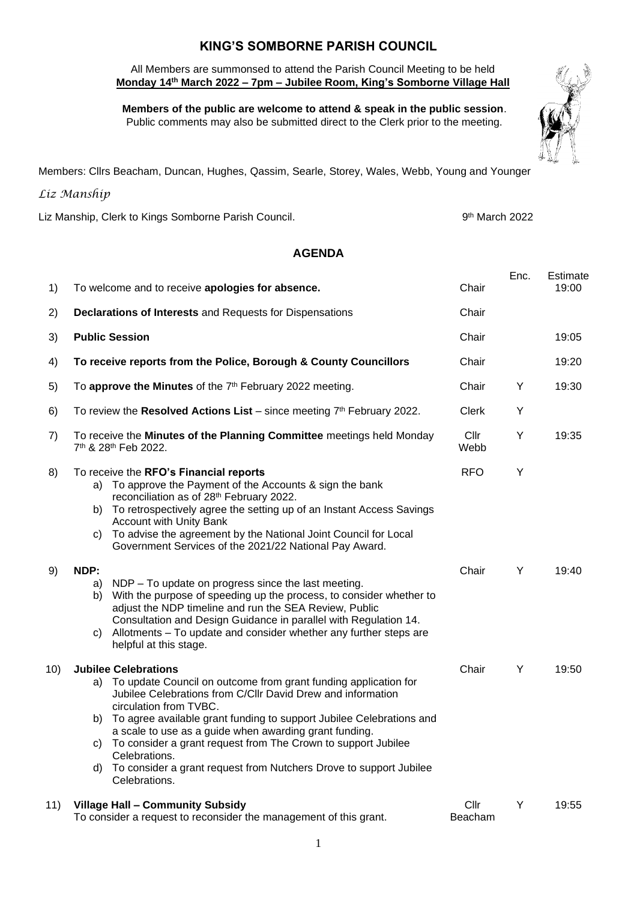## **KING'S SOMBORNE PARISH COUNCIL**

 All Members are summonsed to attend the Parish Council Meeting to be held  **Monday 14th March 2022 – 7pm – Jubilee Room, King's Somborne Village Hall**

 **Members of the public are welcome to attend & speak in the public session**. Public comments may also be submitted direct to the Clerk prior to the meeting.



Members: Cllrs Beacham, Duncan, Hughes, Qassim, Searle, Storey, Wales, Webb, Young and Younger

## *Liz Manship*

Liz Manship, Clerk to Kings Somborne Parish Council.

9<sup>th</sup> March 2022

## **AGENDA**

| 1)  | To welcome and to receive apologies for absence.                                                                                                                                                                                                                                                                                                                                                                                                                                         | Chair           | Enc. | <b>Estimate</b><br>19:00 |
|-----|------------------------------------------------------------------------------------------------------------------------------------------------------------------------------------------------------------------------------------------------------------------------------------------------------------------------------------------------------------------------------------------------------------------------------------------------------------------------------------------|-----------------|------|--------------------------|
| 2)  | <b>Declarations of Interests and Requests for Dispensations</b>                                                                                                                                                                                                                                                                                                                                                                                                                          | Chair           |      |                          |
| 3)  | <b>Public Session</b>                                                                                                                                                                                                                                                                                                                                                                                                                                                                    | Chair           |      | 19:05                    |
| 4)  | To receive reports from the Police, Borough & County Councillors                                                                                                                                                                                                                                                                                                                                                                                                                         | Chair           |      | 19:20                    |
| 5)  | To approve the Minutes of the 7 <sup>th</sup> February 2022 meeting.                                                                                                                                                                                                                                                                                                                                                                                                                     | Chair           | Y    | 19:30                    |
| 6)  | To review the Resolved Actions List – since meeting $7th$ February 2022.                                                                                                                                                                                                                                                                                                                                                                                                                 | <b>Clerk</b>    | Y    |                          |
| 7)  | To receive the Minutes of the Planning Committee meetings held Monday<br>7 <sup>th</sup> & 28 <sup>th</sup> Feb 2022.                                                                                                                                                                                                                                                                                                                                                                    | Cllr<br>Webb    | Υ    | 19:35                    |
| 8)  | To receive the RFO's Financial reports<br>a) To approve the Payment of the Accounts & sign the bank<br>reconciliation as of 28th February 2022.<br>b) To retrospectively agree the setting up of an Instant Access Savings<br><b>Account with Unity Bank</b><br>To advise the agreement by the National Joint Council for Local<br>C)<br>Government Services of the 2021/22 National Pay Award.                                                                                          | <b>RFO</b>      | Υ    |                          |
| 9)  | NDP:<br>NDP - To update on progress since the last meeting.<br>a)<br>With the purpose of speeding up the process, to consider whether to<br>b)<br>adjust the NDP timeline and run the SEA Review, Public<br>Consultation and Design Guidance in parallel with Regulation 14.<br>Allotments – To update and consider whether any further steps are<br>C)<br>helpful at this stage.                                                                                                        | Chair           | Y    | 19:40                    |
| 10) | <b>Jubilee Celebrations</b>                                                                                                                                                                                                                                                                                                                                                                                                                                                              | Chair           | Y    | 19:50                    |
|     | a) To update Council on outcome from grant funding application for<br>Jubilee Celebrations from C/Cllr David Drew and information<br>circulation from TVBC.<br>To agree available grant funding to support Jubilee Celebrations and<br>b)<br>a scale to use as a guide when awarding grant funding.<br>To consider a grant request from The Crown to support Jubilee<br>C)<br>Celebrations.<br>To consider a grant request from Nutchers Drove to support Jubilee<br>d)<br>Celebrations. |                 |      |                          |
| 11) | Village Hall - Community Subsidy<br>To consider a request to reconsider the management of this grant.                                                                                                                                                                                                                                                                                                                                                                                    | Cllr<br>Beacham | Y    | 19:55                    |